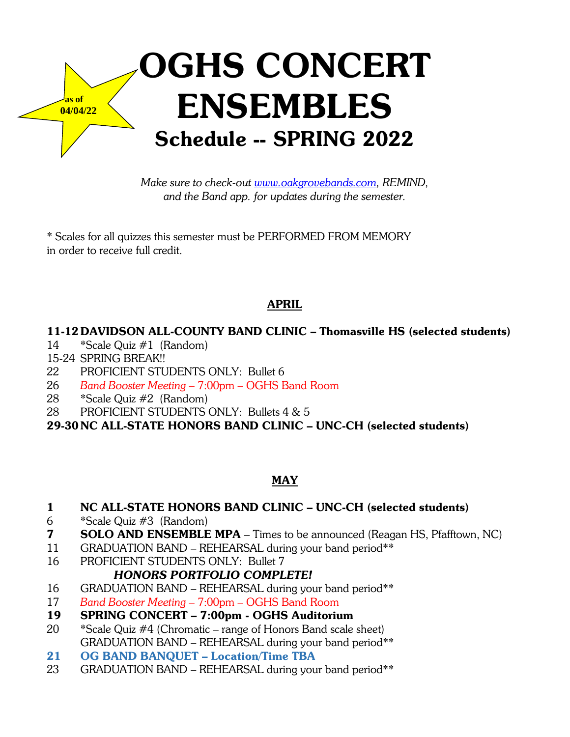

*Make sure to check-out www.oakgrovebands.com, REMIND, and the Band app. for updates during the semester.*

\* Scales for all quizzes this semester must be PERFORMED FROM MEMORY in order to receive full credit.

# APRIL

# 11-12 DAVIDSON ALL-COUNTY BAND CLINIC – Thomasville HS (selected students)

- 14 \*Scale Quiz #1 (Random)
- 15-24 SPRING BREAK!!
- 22 PROFICIENT STUDENTS ONLY: Bullet 6
- 26 *Band Booster Meeting* 7:00pm OGHS Band Room
- 28 \*Scale Quiz #2 (Random)
- 28 PROFICIENT STUDENTS ONLY: Bullets 4 & 5

29-30NC ALL-STATE HONORS BAND CLINIC – UNC-CH (selected students)

# MAY

## 1 NC ALL-STATE HONORS BAND CLINIC – UNC-CH (selected students)

- 6 \*Scale Quiz #3 (Random)
- **7 SOLO AND ENSEMBLE MPA** Times to be announced (Reagan HS, Pfafftown, NC)
- 11 GRADUATION BAND REHEARSAL during your band period\*\*
- 16 PROFICIENT STUDENTS ONLY: Bullet 7

# *HONORS PORTFOLIO COMPLETE!*

- 16 GRADUATION BAND REHEARSAL during your band period\*\*
- 17 *Band Booster Meeting* 7:00pm OGHS Band Room

# 19 SPRING CONCERT – 7:00pm - OGHS Auditorium

- 20 \*Scale Quiz #4 (Chromatic range of Honors Band scale sheet) GRADUATION BAND – REHEARSAL during your band period\*\*
- 21 OG BAND BANQUET Location/Time TBA
- 23 GRADUATION BAND REHEARSAL during your band period\*\*